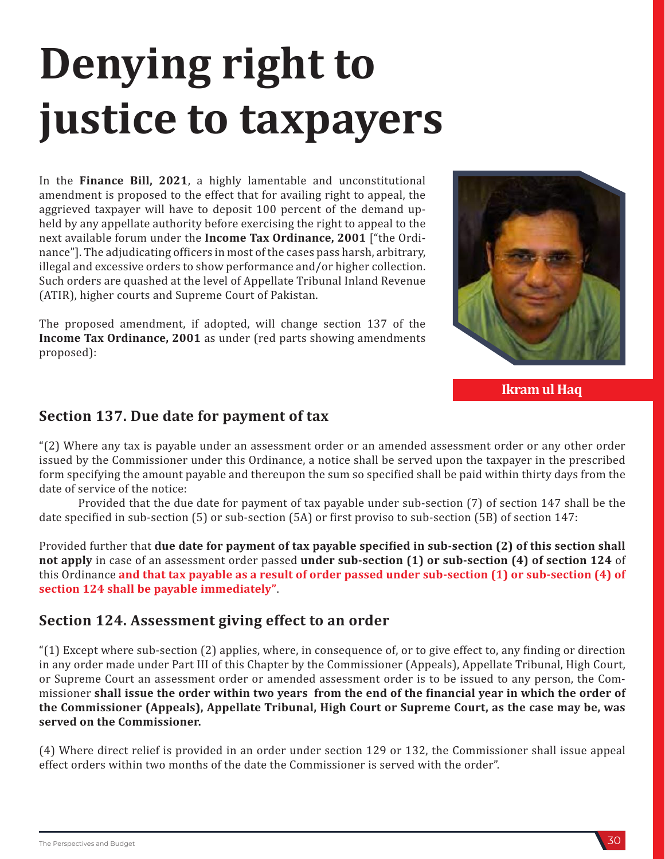## **Denying right to justice to taxpayers**

In the **Finance Bill, 2021**, a highly lamentable and unconstitutional amendment is proposed to the effect that for availing right to appeal, the aggrieved taxpayer will have to deposit 100 percent of the demand upheld by any appellate authority before exercising the right to appeal to the next available forum under the **Income Tax Ordinance, 2001** ["the Ordinance"]. The adjudicating officers in most of the cases pass harsh, arbitrary, illegal and excessive orders to show performance and/or higher collection. Such orders are quashed at the level of Appellate Tribunal Inland Revenue (ATIR), higher courts and Supreme Court of Pakistan.

The proposed amendment, if adopted, will change section 137 of the **Income Tax Ordinance, 2001** as under (red parts showing amendments proposed):



**Ikram ul Haq**

## **Section 137. Due date for payment of tax**

"(2) Where any tax is payable under an assessment order or an amended assessment order or any other order issued by the Commissioner under this Ordinance, a notice shall be served upon the taxpayer in the prescribed form specifying the amount payable and thereupon the sum so specified shall be paid within thirty days from the date of service of the notice:

Provided that the due date for payment of tax payable under sub-section (7) of section 147 shall be the date specified in sub-section (5) or sub-section (5A) or first proviso to sub-section (5B) of section 147:

Provided further that **due date for payment of tax payable specified in sub-section (2) of this section shall not apply** in case of an assessment order passed **under sub-section (1) or sub-section (4) of section 124** of this Ordinance **and that tax payable as a result of order passed under sub-section (1) or sub-section (4) of section 124 shall be payable immediately"**.

## **Section 124. Assessment giving effect to an order**

"(1) Except where sub-section (2) applies, where, in consequence of, or to give effect to, any finding or direction in any order made under Part III of this Chapter by the Commissioner (Appeals), Appellate Tribunal, High Court, or Supreme Court an assessment order or amended assessment order is to be issued to any person, the Commissioner **shall issue the order within two years from the end of the financial year in which the order of the Commissioner (Appeals), Appellate Tribunal, High Court or Supreme Court, as the case may be, was served on the Commissioner.**

(4) Where direct relief is provided in an order under section 129 or 132, the Commissioner shall issue appeal effect orders within two months of the date the Commissioner is served with the order".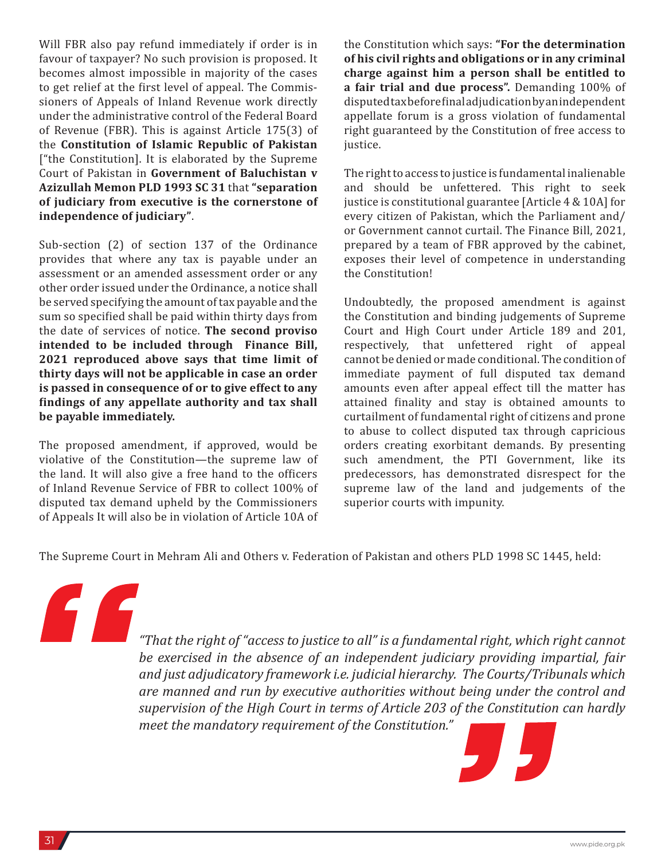Will FBR also pay refund immediately if order is in favour of taxpayer? No such provision is proposed. It becomes almost impossible in majority of the cases to get relief at the first level of appeal. The Commissioners of Appeals of Inland Revenue work directly under the administrative control of the Federal Board of Revenue (FBR). This is against Article 175(3) of the **Constitution of Islamic Republic of Pakistan** ["the Constitution]. It is elaborated by the Supreme Court of Pakistan in **Government of Baluchistan v Azizullah Memon PLD 1993 SC 31** that **"separation of judiciary from executive is the cornerstone of independence of judiciary"**.

Sub-section (2) of section 137 of the Ordinance provides that where any tax is payable under an assessment or an amended assessment order or any other order issued under the Ordinance, a notice shall be served specifying the amount of tax payable and the sum so specified shall be paid within thirty days from the date of services of notice. **The second proviso intended to be included through Finance Bill, 2021 reproduced above says that time limit of thirty days will not be applicable in case an order is passed in consequence of or to give effect to any findings of any appellate authority and tax shall be payable immediately.** 

The proposed amendment, if approved, would be violative of the Constitution—the supreme law of the land. It will also give a free hand to the officers of Inland Revenue Service of FBR to collect 100% of disputed tax demand upheld by the Commissioners of Appeals It will also be in violation of Article 10A of the Constitution which says: **"For the determination of his civil rights and obligations or in any criminal charge against him a person shall be entitled to a fair trial and due process".** Demanding 100% of disputed tax before final adjudication by an independent appellate forum is a gross violation of fundamental right guaranteed by the Constitution of free access to justice.

The right to access to justice is fundamental inalienable and should be unfettered. This right to seek justice is constitutional guarantee [Article 4 & 10A] for every citizen of Pakistan, which the Parliament and/ or Government cannot curtail. The Finance Bill, 2021, prepared by a team of FBR approved by the cabinet, exposes their level of competence in understanding the Constitution!

Undoubtedly, the proposed amendment is against the Constitution and binding judgements of Supreme Court and High Court under Article 189 and 201, respectively, that unfettered right of appeal cannot be denied or made conditional. The condition of immediate payment of full disputed tax demand amounts even after appeal effect till the matter has attained finality and stay is obtained amounts to curtailment of fundamental right of citizens and prone to abuse to collect disputed tax through capricious orders creating exorbitant demands. By presenting such amendment, the PTI Government, like its predecessors, has demonstrated disrespect for the supreme law of the land and judgements of the superior courts with impunity.

The Supreme Court in Mehram Ali and Others v. Federation of Pakistan and others PLD 1998 SC 1445, held:

*"That the right of "access to justice to all" is a fundamental right, which right cannot be exercised in the absence of an independent judiciary providing impartial, fair and just adjudicatory framework i.e. judicial hierarchy. The Courts/Tribunals which are manned and run by executive authorities without being under the control and supervision of the High Court in terms of Article 203 of the Constitution can hardly meet the mandatory requirement of the Constitution."*